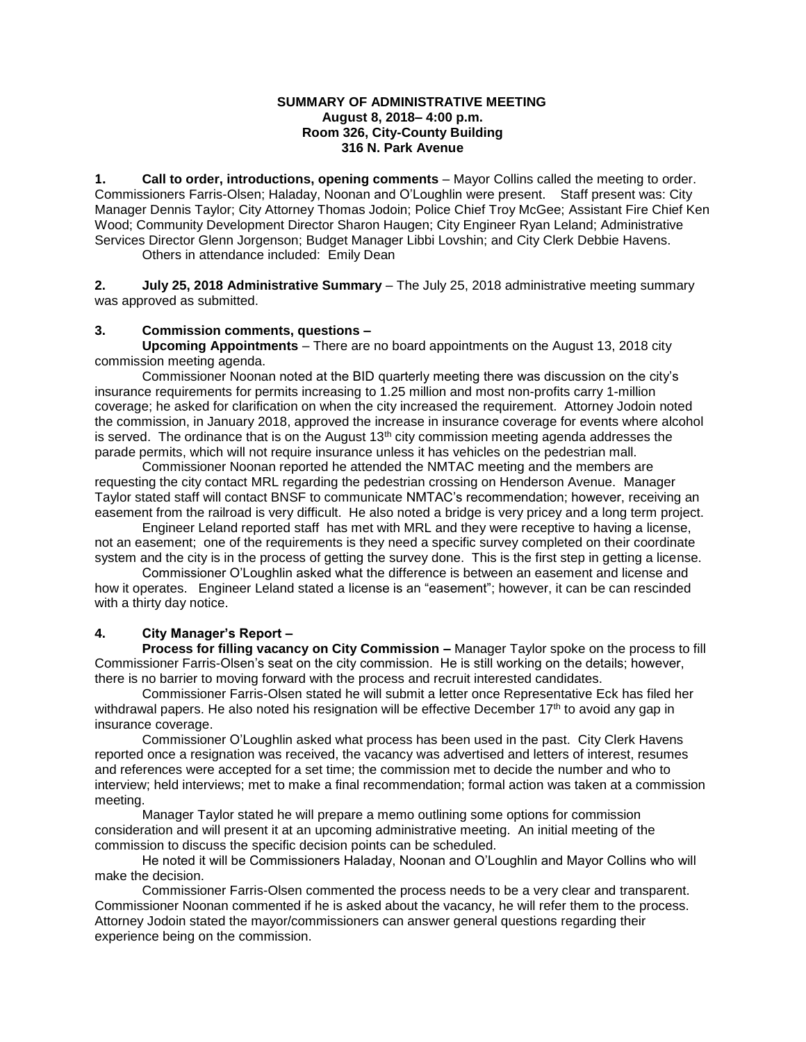### **SUMMARY OF ADMINISTRATIVE MEETING August 8, 2018– 4:00 p.m. Room 326, City-County Building 316 N. Park Avenue**

**1. Call to order, introductions, opening comments** – Mayor Collins called the meeting to order. Commissioners Farris-Olsen; Haladay, Noonan and O'Loughlin were present. Staff present was: City Manager Dennis Taylor; City Attorney Thomas Jodoin; Police Chief Troy McGee; Assistant Fire Chief Ken Wood; Community Development Director Sharon Haugen; City Engineer Ryan Leland; Administrative Services Director Glenn Jorgenson; Budget Manager Libbi Lovshin; and City Clerk Debbie Havens.

Others in attendance included: Emily Dean

**2. July 25, 2018 Administrative Summary** – The July 25, 2018 administrative meeting summary was approved as submitted.

## **3. Commission comments, questions –**

**Upcoming Appointments** – There are no board appointments on the August 13, 2018 city commission meeting agenda.

Commissioner Noonan noted at the BID quarterly meeting there was discussion on the city's insurance requirements for permits increasing to 1.25 million and most non-profits carry 1-million coverage; he asked for clarification on when the city increased the requirement. Attorney Jodoin noted the commission, in January 2018, approved the increase in insurance coverage for events where alcohol is served. The ordinance that is on the August  $13<sup>th</sup>$  city commission meeting agenda addresses the parade permits, which will not require insurance unless it has vehicles on the pedestrian mall.

Commissioner Noonan reported he attended the NMTAC meeting and the members are requesting the city contact MRL regarding the pedestrian crossing on Henderson Avenue. Manager Taylor stated staff will contact BNSF to communicate NMTAC's recommendation; however, receiving an easement from the railroad is very difficult. He also noted a bridge is very pricey and a long term project.

Engineer Leland reported staff has met with MRL and they were receptive to having a license, not an easement; one of the requirements is they need a specific survey completed on their coordinate system and the city is in the process of getting the survey done. This is the first step in getting a license.

Commissioner O'Loughlin asked what the difference is between an easement and license and how it operates. Engineer Leland stated a license is an "easement"; however, it can be can rescinded with a thirty day notice.

# **4. City Manager's Report –**

**Process for filling vacancy on City Commission –** Manager Taylor spoke on the process to fill Commissioner Farris-Olsen's seat on the city commission. He is still working on the details; however, there is no barrier to moving forward with the process and recruit interested candidates.

Commissioner Farris-Olsen stated he will submit a letter once Representative Eck has filed her withdrawal papers. He also noted his resignation will be effective December 17<sup>th</sup> to avoid any gap in insurance coverage.

Commissioner O'Loughlin asked what process has been used in the past. City Clerk Havens reported once a resignation was received, the vacancy was advertised and letters of interest, resumes and references were accepted for a set time; the commission met to decide the number and who to interview; held interviews; met to make a final recommendation; formal action was taken at a commission meeting.

Manager Taylor stated he will prepare a memo outlining some options for commission consideration and will present it at an upcoming administrative meeting. An initial meeting of the commission to discuss the specific decision points can be scheduled.

He noted it will be Commissioners Haladay, Noonan and O'Loughlin and Mayor Collins who will make the decision.

Commissioner Farris-Olsen commented the process needs to be a very clear and transparent. Commissioner Noonan commented if he is asked about the vacancy, he will refer them to the process. Attorney Jodoin stated the mayor/commissioners can answer general questions regarding their experience being on the commission.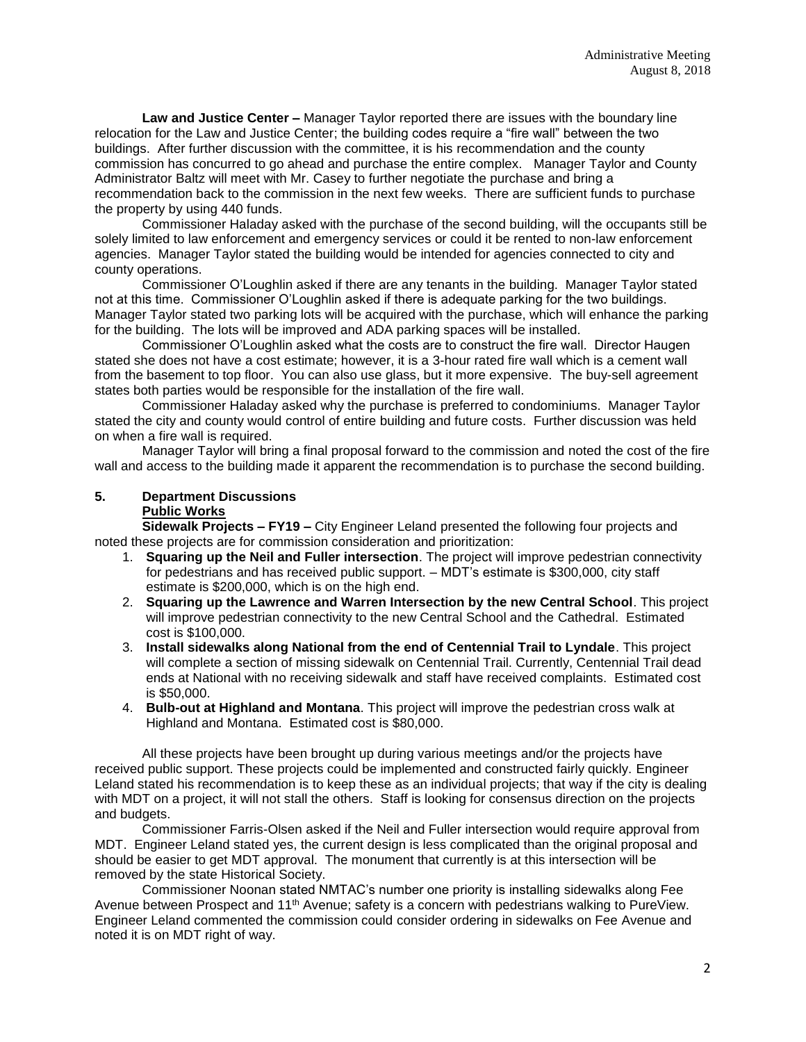**Law and Justice Center –** Manager Taylor reported there are issues with the boundary line relocation for the Law and Justice Center; the building codes require a "fire wall" between the two buildings. After further discussion with the committee, it is his recommendation and the county commission has concurred to go ahead and purchase the entire complex. Manager Taylor and County Administrator Baltz will meet with Mr. Casey to further negotiate the purchase and bring a recommendation back to the commission in the next few weeks. There are sufficient funds to purchase the property by using 440 funds.

Commissioner Haladay asked with the purchase of the second building, will the occupants still be solely limited to law enforcement and emergency services or could it be rented to non-law enforcement agencies. Manager Taylor stated the building would be intended for agencies connected to city and county operations.

Commissioner O'Loughlin asked if there are any tenants in the building. Manager Taylor stated not at this time. Commissioner O'Loughlin asked if there is adequate parking for the two buildings. Manager Taylor stated two parking lots will be acquired with the purchase, which will enhance the parking for the building. The lots will be improved and ADA parking spaces will be installed.

Commissioner O'Loughlin asked what the costs are to construct the fire wall. Director Haugen stated she does not have a cost estimate; however, it is a 3-hour rated fire wall which is a cement wall from the basement to top floor. You can also use glass, but it more expensive. The buy-sell agreement states both parties would be responsible for the installation of the fire wall.

Commissioner Haladay asked why the purchase is preferred to condominiums. Manager Taylor stated the city and county would control of entire building and future costs. Further discussion was held on when a fire wall is required.

Manager Taylor will bring a final proposal forward to the commission and noted the cost of the fire wall and access to the building made it apparent the recommendation is to purchase the second building.

## **5. Department Discussions Public Works**

**Sidewalk Projects – FY19 –** City Engineer Leland presented the following four projects and noted these projects are for commission consideration and prioritization:

- 1. **Squaring up the Neil and Fuller intersection**. The project will improve pedestrian connectivity for pedestrians and has received public support. – MDT's estimate is \$300,000, city staff estimate is \$200,000, which is on the high end.
- 2. **Squaring up the Lawrence and Warren Intersection by the new Central School**. This project will improve pedestrian connectivity to the new Central School and the Cathedral. Estimated cost is \$100,000.
- 3. **Install sidewalks along National from the end of Centennial Trail to Lyndale**. This project will complete a section of missing sidewalk on Centennial Trail. Currently, Centennial Trail dead ends at National with no receiving sidewalk and staff have received complaints. Estimated cost is \$50,000.
- 4. **Bulb-out at Highland and Montana**. This project will improve the pedestrian cross walk at Highland and Montana. Estimated cost is \$80,000.

All these projects have been brought up during various meetings and/or the projects have received public support. These projects could be implemented and constructed fairly quickly. Engineer Leland stated his recommendation is to keep these as an individual projects; that way if the city is dealing with MDT on a project, it will not stall the others. Staff is looking for consensus direction on the projects and budgets.

Commissioner Farris-Olsen asked if the Neil and Fuller intersection would require approval from MDT. Engineer Leland stated yes, the current design is less complicated than the original proposal and should be easier to get MDT approval. The monument that currently is at this intersection will be removed by the state Historical Society.

Commissioner Noonan stated NMTAC's number one priority is installing sidewalks along Fee Avenue between Prospect and 11<sup>th</sup> Avenue; safety is a concern with pedestrians walking to PureView. Engineer Leland commented the commission could consider ordering in sidewalks on Fee Avenue and noted it is on MDT right of way.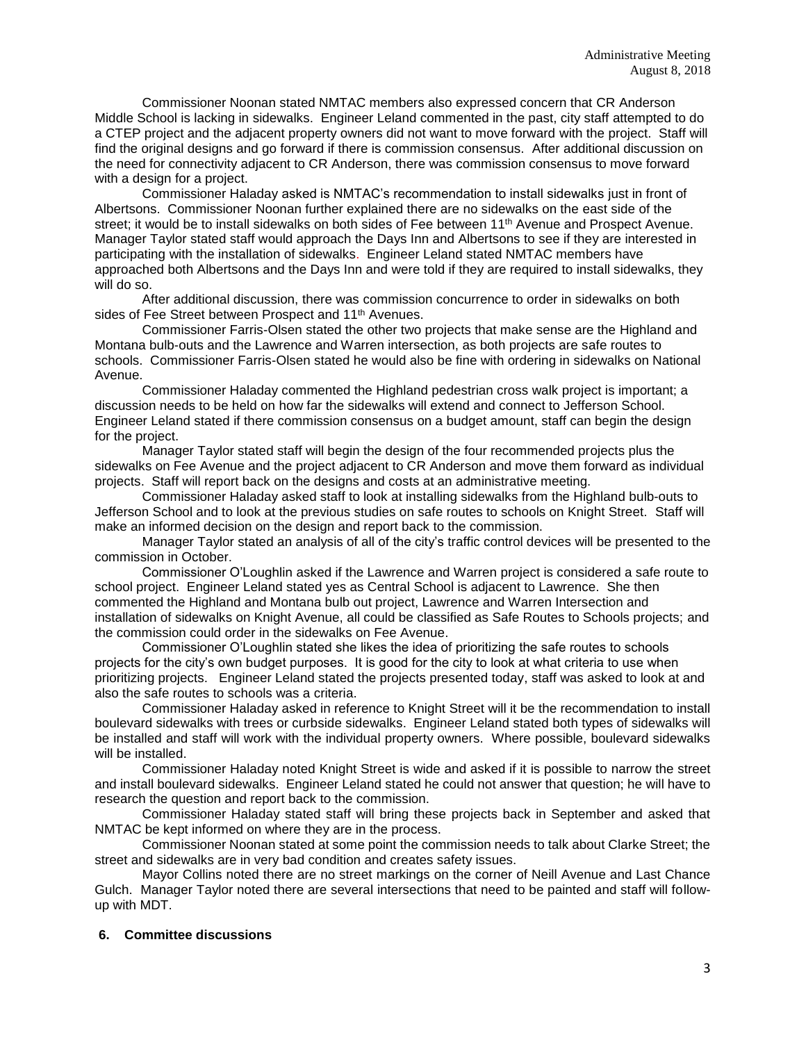Commissioner Noonan stated NMTAC members also expressed concern that CR Anderson Middle School is lacking in sidewalks. Engineer Leland commented in the past, city staff attempted to do a CTEP project and the adjacent property owners did not want to move forward with the project. Staff will find the original designs and go forward if there is commission consensus. After additional discussion on the need for connectivity adjacent to CR Anderson, there was commission consensus to move forward with a design for a project.

Commissioner Haladay asked is NMTAC's recommendation to install sidewalks just in front of Albertsons. Commissioner Noonan further explained there are no sidewalks on the east side of the street; it would be to install sidewalks on both sides of Fee between 11<sup>th</sup> Avenue and Prospect Avenue. Manager Taylor stated staff would approach the Days Inn and Albertsons to see if they are interested in participating with the installation of sidewalks. Engineer Leland stated NMTAC members have approached both Albertsons and the Days Inn and were told if they are required to install sidewalks, they will do so.

After additional discussion, there was commission concurrence to order in sidewalks on both sides of Fee Street between Prospect and 11<sup>th</sup> Avenues.

Commissioner Farris-Olsen stated the other two projects that make sense are the Highland and Montana bulb-outs and the Lawrence and Warren intersection, as both projects are safe routes to schools. Commissioner Farris-Olsen stated he would also be fine with ordering in sidewalks on National Avenue.

Commissioner Haladay commented the Highland pedestrian cross walk project is important; a discussion needs to be held on how far the sidewalks will extend and connect to Jefferson School. Engineer Leland stated if there commission consensus on a budget amount, staff can begin the design for the project.

Manager Taylor stated staff will begin the design of the four recommended projects plus the sidewalks on Fee Avenue and the project adjacent to CR Anderson and move them forward as individual projects. Staff will report back on the designs and costs at an administrative meeting.

Commissioner Haladay asked staff to look at installing sidewalks from the Highland bulb-outs to Jefferson School and to look at the previous studies on safe routes to schools on Knight Street. Staff will make an informed decision on the design and report back to the commission.

Manager Taylor stated an analysis of all of the city's traffic control devices will be presented to the commission in October.

Commissioner O'Loughlin asked if the Lawrence and Warren project is considered a safe route to school project. Engineer Leland stated yes as Central School is adjacent to Lawrence. She then commented the Highland and Montana bulb out project, Lawrence and Warren Intersection and installation of sidewalks on Knight Avenue, all could be classified as Safe Routes to Schools projects; and the commission could order in the sidewalks on Fee Avenue.

Commissioner O'Loughlin stated she likes the idea of prioritizing the safe routes to schools projects for the city's own budget purposes. It is good for the city to look at what criteria to use when prioritizing projects. Engineer Leland stated the projects presented today, staff was asked to look at and also the safe routes to schools was a criteria.

Commissioner Haladay asked in reference to Knight Street will it be the recommendation to install boulevard sidewalks with trees or curbside sidewalks. Engineer Leland stated both types of sidewalks will be installed and staff will work with the individual property owners. Where possible, boulevard sidewalks will be installed.

Commissioner Haladay noted Knight Street is wide and asked if it is possible to narrow the street and install boulevard sidewalks. Engineer Leland stated he could not answer that question; he will have to research the question and report back to the commission.

Commissioner Haladay stated staff will bring these projects back in September and asked that NMTAC be kept informed on where they are in the process.

Commissioner Noonan stated at some point the commission needs to talk about Clarke Street; the street and sidewalks are in very bad condition and creates safety issues.

Mayor Collins noted there are no street markings on the corner of Neill Avenue and Last Chance Gulch. Manager Taylor noted there are several intersections that need to be painted and staff will followup with MDT.

#### **6. Committee discussions**